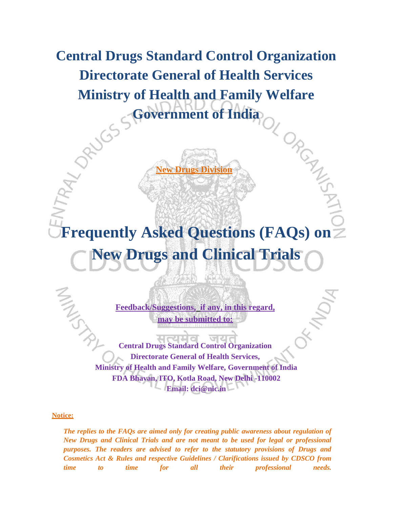# **Central Drugs Standard Control Organization Directorate General of Health Services Ministry of Health and Family Welfare Government of India**

**Frequently Asked Questions (FAQs) on New Drugs and Clinical Trials**

**New Drugs Division**

**Feedback/Suggestions, if any, in this regard, may be submitted to:**

रत

**[Central Drugs Standard Control Organization](http://cdsco.nic.in/forms/Default.aspx) Directorate General of Health Services, Ministry of Health and Family Welfare, Government of India FDA Bhavan, ITO, Kotla Road, New Delhi -110002 Email: dci@nic.in**

**Notice:**

*The replies to the FAQs are aimed only for creating public awareness about regulation of New Drugs and Clinical Trials and are not meant to be used for legal or professional purposes. The readers are advised to refer to the statutory provisions of Drugs and Cosmetics Act & Rules and respective Guidelines / Clarifications issued by CDSCO from time to time for all their professional needs.*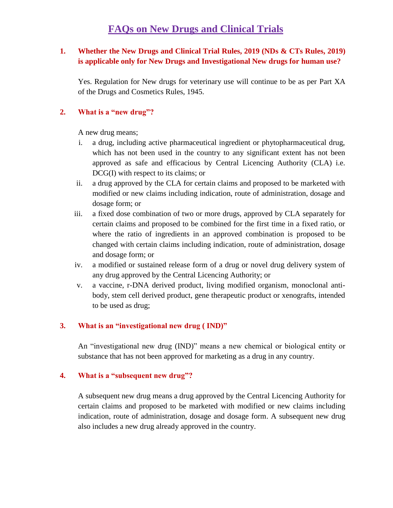# **1. Whether the New Drugs and Clinical Trial Rules, 2019 (NDs & CTs Rules, 2019) is applicable only for New Drugs and Investigational New drugs for human use?**

Yes. Regulation for New drugs for veterinary use will continue to be as per Part XA of the Drugs and Cosmetics Rules, 1945.

# **2. What is a "new drug"?**

A new drug means;

- i. a drug, including active pharmaceutical ingredient or phytopharmaceutical drug, which has not been used in the country to any significant extent has not been approved as safe and efficacious by Central Licencing Authority (CLA) i.e. DCG(I) with respect to its claims; or
- ii. a drug approved by the CLA for certain claims and proposed to be marketed with modified or new claims including indication, route of administration, dosage and dosage form; or
- iii. a fixed dose combination of two or more drugs, approved by CLA separately for certain claims and proposed to be combined for the first time in a fixed ratio, or where the ratio of ingredients in an approved combination is proposed to be changed with certain claims including indication, route of administration, dosage and dosage form; or
- iv. a modified or sustained release form of a drug or novel drug delivery system of any drug approved by the Central Licencing Authority; or
- v. a vaccine, r-DNA derived product, living modified organism, monoclonal antibody, stem cell derived product, gene therapeutic product or xenografts, intended to be used as drug;

## **3. What is an "investigational new drug ( IND)"**

An "investigational new drug (IND)" means a new chemical or biological entity or substance that has not been approved for marketing as a drug in any country.

# **4. What is a "subsequent new drug"?**

A subsequent new drug means a drug approved by the Central Licencing Authority for certain claims and proposed to be marketed with modified or new claims including indication, route of administration, dosage and dosage form. A subsequent new drug also includes a new drug already approved in the country.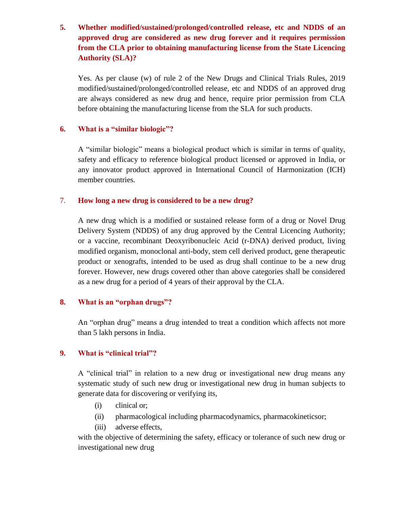# **5. Whether modified/sustained/prolonged/controlled release, etc and NDDS of an approved drug are considered as new drug forever and it requires permission from the CLA prior to obtaining manufacturing license from the State Licencing Authority (SLA)?**

Yes. As per clause (w) of rule 2 of the New Drugs and Clinical Trials Rules, 2019 modified/sustained/prolonged/controlled release, etc and NDDS of an approved drug are always considered as new drug and hence, require prior permission from CLA before obtaining the manufacturing license from the SLA for such products.

## **6. What is a "similar biologic"?**

A "similar biologic" means a biological product which is similar in terms of quality, safety and efficacy to reference biological product licensed or approved in India, or any innovator product approved in International Council of Harmonization (ICH) member countries.

#### 7. **How long a new drug is considered to be a new drug?**

A new drug which is a modified or sustained release form of a drug or Novel Drug Delivery System (NDDS) of any drug approved by the Central Licencing Authority; or a vaccine, recombinant Deoxyribonucleic Acid (r-DNA) derived product, living modified organism, monoclonal anti-body, stem cell derived product, gene therapeutic product or xenografts, intended to be used as drug shall continue to be a new drug forever. However, new drugs covered other than above categories shall be considered as a new drug for a period of 4 years of their approval by the CLA.

## **8. What is an "orphan drugs"?**

An "orphan drug" means a drug intended to treat a condition which affects not more than 5 lakh persons in India.

## **9. What is "clinical trial"?**

A "clinical trial" in relation to a new drug or investigational new drug means any systematic study of such new drug or investigational new drug in human subjects to generate data for discovering or verifying its,

- (i) clinical or;
- (ii) pharmacological including pharmacodynamics, pharmacokineticsor;
- (iii) adverse effects,

with the objective of determining the safety, efficacy or tolerance of such new drug or investigational new drug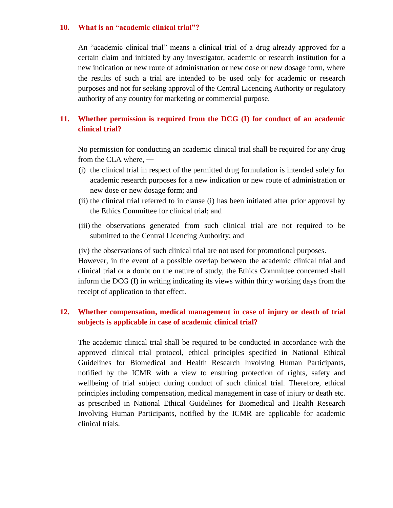#### **10. What is an "academic clinical trial"?**

An "academic clinical trial" means a clinical trial of a drug already approved for a certain claim and initiated by any investigator, academic or research institution for a new indication or new route of administration or new dose or new dosage form, where the results of such a trial are intended to be used only for academic or research purposes and not for seeking approval of the Central Licencing Authority or regulatory authority of any country for marketing or commercial purpose.

## **11. Whether permission is required from the DCG (I) for conduct of an academic clinical trial?**

No permission for conducting an academic clinical trial shall be required for any drug from the CLA where, **―**

- (i) the clinical trial in respect of the permitted drug formulation is intended solely for academic research purposes for a new indication or new route of administration or new dose or new dosage form; and
- (ii) the clinical trial referred to in clause (i) has been initiated after prior approval by the Ethics Committee for clinical trial; and
- (iii) the observations generated from such clinical trial are not required to be submitted to the Central Licencing Authority; and

(iv) the observations of such clinical trial are not used for promotional purposes.

However, in the event of a possible overlap between the academic clinical trial and clinical trial or a doubt on the nature of study, the Ethics Committee concerned shall inform the DCG (I) in writing indicating its views within thirty working days from the receipt of application to that effect.

## **12. Whether compensation, medical management in case of injury or death of trial subjects is applicable in case of academic clinical trial?**

The academic clinical trial shall be required to be conducted in accordance with the approved clinical trial protocol, ethical principles specified in National Ethical Guidelines for Biomedical and Health Research Involving Human Participants, notified by the ICMR with a view to ensuring protection of rights, safety and wellbeing of trial subject during conduct of such clinical trial. Therefore, ethical principles including compensation, medical management in case of injury or death etc. as prescribed in National Ethical Guidelines for Biomedical and Health Research Involving Human Participants, notified by the ICMR are applicable for academic clinical trials.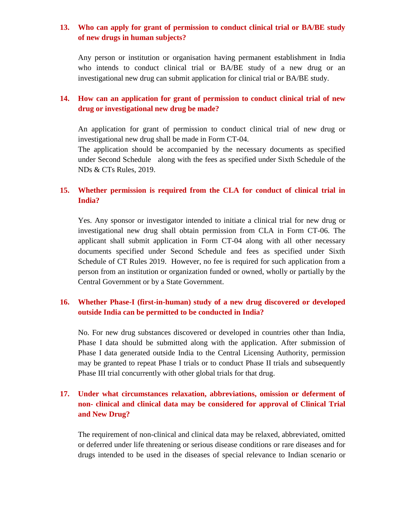## **13. Who can apply for grant of permission to conduct clinical trial or BA/BE study of new drugs in human subjects?**

Any person or institution or organisation having permanent establishment in India who intends to conduct clinical trial or BA/BE study of a new drug or an investigational new drug can submit application for clinical trial or BA/BE study.

## **14. How can an application for grant of permission to conduct clinical trial of new drug or investigational new drug be made?**

An application for grant of permission to conduct clinical trial of new drug or investigational new drug shall be made in Form CT-04.

The application should be accompanied by the necessary documents as specified under Second Schedule along with the fees as specified under Sixth Schedule of the NDs & CTs Rules, 2019.

# **15. Whether permission is required from the CLA for conduct of clinical trial in India?**

Yes. Any sponsor or investigator intended to initiate a clinical trial for new drug or investigational new drug shall obtain permission from CLA in Form CT-06. The applicant shall submit application in Form CT-04 along with all other necessary documents specified under Second Schedule and fees as specified under Sixth Schedule of CT Rules 2019. However, no fee is required for such application from a person from an institution or organization funded or owned, wholly or partially by the Central Government or by a State Government.

# **16. Whether Phase-I (first-in-human) study of a new drug discovered or developed outside India can be permitted to be conducted in India?**

No. For new drug substances discovered or developed in countries other than India, Phase I data should be submitted along with the application. After submission of Phase I data generated outside India to the Central Licensing Authority, permission may be granted to repeat Phase I trials or to conduct Phase II trials and subsequently Phase III trial concurrently with other global trials for that drug.

# **17. Under what circumstances relaxation, abbreviations, omission or deferment of non- clinical and clinical data may be considered for approval of Clinical Trial and New Drug?**

The requirement of non-clinical and clinical data may be relaxed, abbreviated, omitted or deferred under life threatening or serious disease conditions or rare diseases and for drugs intended to be used in the diseases of special relevance to Indian scenario or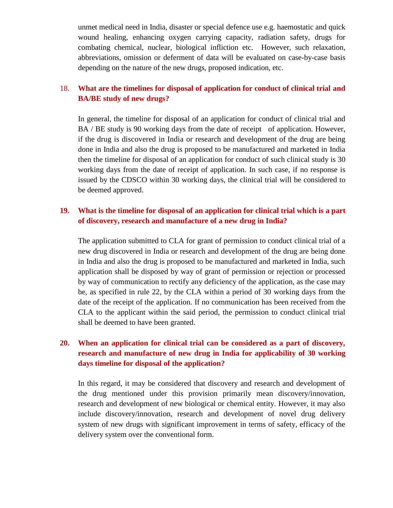unmet medical need in India, disaster or special defence use e.g. haemostatic and quick wound healing, enhancing oxygen carrying capacity, radiation safety, drugs for combating chemical, nuclear, biological infliction etc. However, such relaxation, abbreviations, omission or deferment of data will be evaluated on case-by-case basis depending on the nature of the new drugs, proposed indication, etc.

# 18. **What are the timelines for disposal of application for conduct of clinical trial and BA/BE study of new drugs?**

In general, the timeline for disposal of an application for conduct of clinical trial and BA / BE study is 90 working days from the date of receipt of application. However, if the drug is discovered in India or research and development of the drug are being done in India and also the drug is proposed to be manufactured and marketed in India then the timeline for disposal of an application for conduct of such clinical study is 30 working days from the date of receipt of application. In such case, if no response is issued by the CDSCO within 30 working days, the clinical trial will be considered to be deemed approved.

# **19. What is the timeline for disposal of an application for clinical trial which is a part of discovery, research and manufacture of a new drug in India?**

The application submitted to CLA for grant of permission to conduct clinical trial of a new drug discovered in India or research and development of the drug are being done in India and also the drug is proposed to be manufactured and marketed in India, such application shall be disposed by way of grant of permission or rejection or processed by way of communication to rectify any deficiency of the application, as the case may be, as specified in rule 22, by the CLA within a period of 30 working days from the date of the receipt of the application. If no communication has been received from the CLA to the applicant within the said period, the permission to conduct clinical trial shall be deemed to have been granted.

# **20. When an application for clinical trial can be considered as a part of discovery, research and manufacture of new drug in India for applicability of 30 working days timeline for disposal of the application?**

In this regard, it may be considered that discovery and research and development of the drug mentioned under this provision primarily mean discovery/innovation, research and development of new biological or chemical entity. However, it may also include discovery/innovation, research and development of novel drug delivery system of new drugs with significant improvement in terms of safety, efficacy of the delivery system over the conventional form.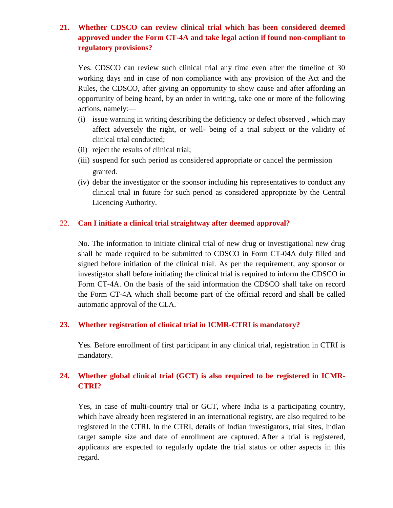# **21. Whether CDSCO can review clinical trial which has been considered deemed approved under the Form CT-4A and take legal action if found non-compliant to regulatory provisions?**

Yes. CDSCO can review such clinical trial any time even after the timeline of 30 working days and in case of non compliance with any provision of the Act and the Rules, the CDSCO, after giving an opportunity to show cause and after affording an opportunity of being heard, by an order in writing, take one or more of the following actions, namely:**―**

- (i) issue warning in writing describing the deficiency or defect observed , which may affect adversely the right, or well- being of a trial subject or the validity of clinical trial conducted;
- (ii) reject the results of clinical trial;
- (iii) suspend for such period as considered appropriate or cancel the permission granted.
- (iv) debar the investigator or the sponsor including his representatives to conduct any clinical trial in future for such period as considered appropriate by the Central Licencing Authority.

## 22. **Can I initiate a clinical trial straightway after deemed approval?**

No. The information to initiate clinical trial of new drug or investigational new drug shall be made required to be submitted to CDSCO in Form CT-04A duly filled and signed before initiation of the clinical trial. As per the requirement, any sponsor or investigator shall before initiating the clinical trial is required to inform the CDSCO in Form CT-4A. On the basis of the said information the CDSCO shall take on record the Form CT-4A which shall become part of the official record and shall be called automatic approval of the CLA.

## **23. Whether registration of clinical trial in ICMR-CTRI is mandatory?**

Yes. Before enrollment of first participant in any clinical trial, registration in CTRI is mandatory.

# **24. Whether global clinical trial (GCT) is also required to be registered in ICMR-CTRI?**

Yes, in case of multi-country trial or GCT, where India is a participating country, which have already been registered in an international registry, are also required to be registered in the CTRI. In the CTRI, details of Indian investigators, trial sites, Indian target sample size and date of enrollment are captured. After a trial is registered, applicants are expected to regularly update the trial status or other aspects in this regard.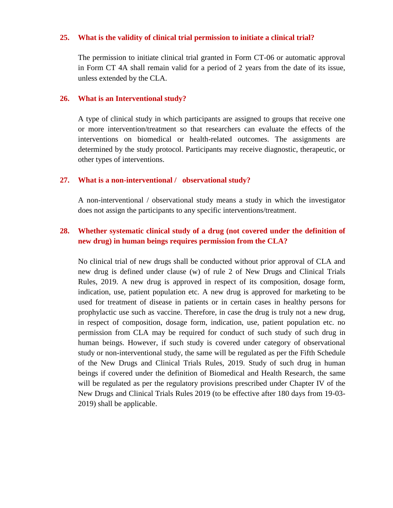#### **25. What is the validity of clinical trial permission to initiate a clinical trial?**

The permission to initiate clinical trial granted in Form CT-06 or automatic approval in Form CT 4A shall remain valid for a period of 2 years from the date of its issue, unless extended by the CLA.

#### **26. What is an Interventional study?**

A type of clinical study in which participants are assigned to groups that receive one or more intervention/treatment so that researchers can evaluate the effects of the interventions on biomedical or health-related outcomes. The assignments are determined by the study protocol. Participants may receive diagnostic, therapeutic, or other types of interventions.

#### **27. What is a non-interventional / observational study?**

A non-interventional / observational study means a study in which the investigator does not assign the participants to any specific interventions/treatment.

## **28. Whether systematic clinical study of a drug (not covered under the definition of new drug) in human beings requires permission from the CLA?**

No clinical trial of new drugs shall be conducted without prior approval of CLA and new drug is defined under clause (w) of rule 2 of New Drugs and Clinical Trials Rules, 2019. A new drug is approved in respect of its composition, dosage form, indication, use, patient population etc. A new drug is approved for marketing to be used for treatment of disease in patients or in certain cases in healthy persons for prophylactic use such as vaccine. Therefore, in case the drug is truly not a new drug, in respect of composition, dosage form, indication, use, patient population etc. no permission from CLA may be required for conduct of such study of such drug in human beings. However, if such study is covered under category of observational study or non-interventional study, the same will be regulated as per the Fifth Schedule of the New Drugs and Clinical Trials Rules, 2019. Study of such drug in human beings if covered under the definition of Biomedical and Health Research, the same will be regulated as per the regulatory provisions prescribed under Chapter IV of the New Drugs and Clinical Trials Rules 2019 (to be effective after 180 days from 19-03- 2019) shall be applicable.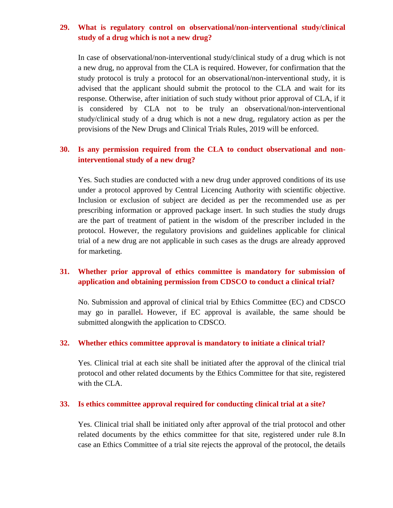# **29. What is regulatory control on observational/non-interventional study/clinical study of a drug which is not a new drug?**

In case of observational/non-interventional study/clinical study of a drug which is not a new drug, no approval from the CLA is required. However, for confirmation that the study protocol is truly a protocol for an observational/non-interventional study, it is advised that the applicant should submit the protocol to the CLA and wait for its response. Otherwise, after initiation of such study without prior approval of CLA, if it is considered by CLA not to be truly an observational/non-interventional study/clinical study of a drug which is not a new drug, regulatory action as per the provisions of the New Drugs and Clinical Trials Rules, 2019 will be enforced.

## **30. Is any permission required from the CLA to conduct observational and noninterventional study of a new drug?**

Yes. Such studies are conducted with a new drug under approved conditions of its use under a protocol approved by Central Licencing Authority with scientific objective. Inclusion or exclusion of subject are decided as per the recommended use as per prescribing information or approved package insert. In such studies the study drugs are the part of treatment of patient in the wisdom of the prescriber included in the protocol. However, the regulatory provisions and guidelines applicable for clinical trial of a new drug are not applicable in such cases as the drugs are already approved for marketing.

# **31. Whether prior approval of ethics committee is mandatory for submission of application and obtaining permission from CDSCO to conduct a clinical trial?**

No. Submission and approval of clinical trial by Ethics Committee (EC) and CDSCO may go in parallel**.** However, if EC approval is available, the same should be submitted alongwith the application to CDSCO.

#### **32. Whether ethics committee approval is mandatory to initiate a clinical trial?**

Yes. Clinical trial at each site shall be initiated after the approval of the clinical trial protocol and other related documents by the Ethics Committee for that site, registered with the CLA.

#### **33. Is ethics committee approval required for conducting clinical trial at a site?**

Yes. Clinical trial shall be initiated only after approval of the trial protocol and other related documents by the ethics committee for that site, registered under rule 8.In case an Ethics Committee of a trial site rejects the approval of the protocol, the details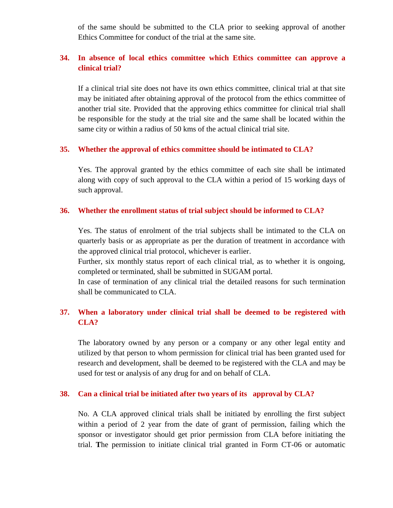of the same should be submitted to the CLA prior to seeking approval of another Ethics Committee for conduct of the trial at the same site.

# **34. In absence of local ethics committee which Ethics committee can approve a clinical trial?**

If a clinical trial site does not have its own ethics committee, clinical trial at that site may be initiated after obtaining approval of the protocol from the ethics committee of another trial site. Provided that the approving ethics committee for clinical trial shall be responsible for the study at the trial site and the same shall be located within the same city or within a radius of 50 kms of the actual clinical trial site.

#### **35. Whether the approval of ethics committee should be intimated to CLA?**

Yes. The approval granted by the ethics committee of each site shall be intimated along with copy of such approval to the CLA within a period of 15 working days of such approval.

#### **36. Whether the enrollment status of trial subject should be informed to CLA?**

Yes. The status of enrolment of the trial subjects shall be intimated to the CLA on quarterly basis or as appropriate as per the duration of treatment in accordance with the approved clinical trial protocol, whichever is earlier.

Further, six monthly status report of each clinical trial, as to whether it is ongoing, completed or terminated, shall be submitted in SUGAM portal.

In case of termination of any clinical trial the detailed reasons for such termination shall be communicated to CLA.

# **37. When a laboratory under clinical trial shall be deemed to be registered with CLA?**

The laboratory owned by any person or a company or any other legal entity and utilized by that person to whom permission for clinical trial has been granted used for research and development, shall be deemed to be registered with the CLA and may be used for test or analysis of any drug for and on behalf of CLA.

## **38. Can a clinical trial be initiated after two years of its approval by CLA?**

No. A CLA approved clinical trials shall be initiated by enrolling the first subject within a period of 2 year from the date of grant of permission, failing which the sponsor or investigator should get prior permission from CLA before initiating the trial. **T**he permission to initiate clinical trial granted in Form CT-06 or automatic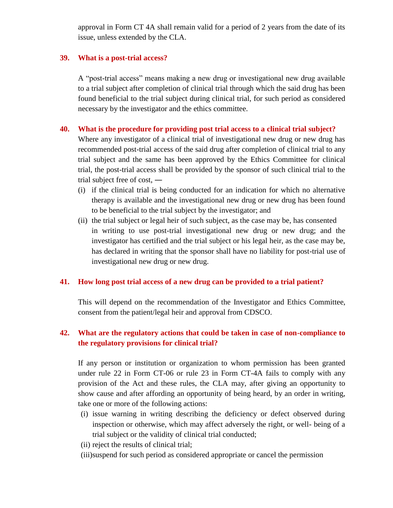approval in Form CT 4A shall remain valid for a period of 2 years from the date of its issue, unless extended by the CLA.

#### **39. What is a post-trial access?**

A "post-trial access" means making a new drug or investigational new drug available to a trial subject after completion of clinical trial through which the said drug has been found beneficial to the trial subject during clinical trial, for such period as considered necessary by the investigator and the ethics committee.

#### **40. What is the procedure for providing post trial access to a clinical trial subject?**

Where any investigator of a clinical trial of investigational new drug or new drug has recommended post-trial access of the said drug after completion of clinical trial to any trial subject and the same has been approved by the Ethics Committee for clinical trial, the post-trial access shall be provided by the sponsor of such clinical trial to the trial subject free of cost, **―**

- (i) if the clinical trial is being conducted for an indication for which no alternative therapy is available and the investigational new drug or new drug has been found to be beneficial to the trial subject by the investigator; and
- (ii) the trial subject or legal heir of such subject, as the case may be, has consented in writing to use post-trial investigational new drug or new drug; and the investigator has certified and the trial subject or his legal heir, as the case may be, has declared in writing that the sponsor shall have no liability for post-trial use of investigational new drug or new drug.

#### **41. How long post trial access of a new drug can be provided to a trial patient?**

This will depend on the recommendation of the Investigator and Ethics Committee, consent from the patient/legal heir and approval from CDSCO.

# **42. What are the regulatory actions that could be taken in case of non-compliance to the regulatory provisions for clinical trial?**

If any person or institution or organization to whom permission has been granted under rule 22 in Form CT-06 or rule 23 in Form CT-4A fails to comply with any provision of the Act and these rules, the CLA may, after giving an opportunity to show cause and after affording an opportunity of being heard, by an order in writing, take one or more of the following actions:

- (i) issue warning in writing describing the deficiency or defect observed during inspection or otherwise, which may affect adversely the right, or well- being of a trial subject or the validity of clinical trial conducted;
- (ii) reject the results of clinical trial;
- (iii)suspend for such period as considered appropriate or cancel the permission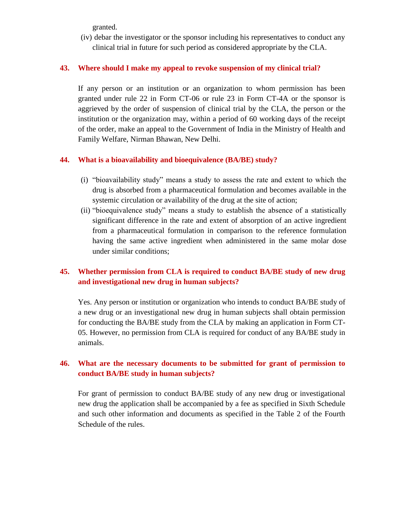granted.

(iv) debar the investigator or the sponsor including his representatives to conduct any clinical trial in future for such period as considered appropriate by the CLA.

#### **43. Where should I make my appeal to revoke suspension of my clinical trial?**

If any person or an institution or an organization to whom permission has been granted under rule 22 in Form CT-06 or rule 23 in Form CT-4A or the sponsor is aggrieved by the order of suspension of clinical trial by the CLA, the person or the institution or the organization may, within a period of 60 working days of the receipt of the order, make an appeal to the Government of India in the Ministry of Health and Family Welfare, Nirman Bhawan, New Delhi.

#### **44. What is a bioavailability and bioequivalence (BA/BE) study?**

- (i) "bioavailability study" means a study to assess the rate and extent to which the drug is absorbed from a pharmaceutical formulation and becomes available in the systemic circulation or availability of the drug at the site of action;
- (ii) "bioequivalence study" means a study to establish the absence of a statistically significant difference in the rate and extent of absorption of an active ingredient from a pharmaceutical formulation in comparison to the reference formulation having the same active ingredient when administered in the same molar dose under similar conditions;

# **45. Whether permission from CLA is required to conduct BA/BE study of new drug and investigational new drug in human subjects?**

Yes. Any person or institution or organization who intends to conduct BA/BE study of a new drug or an investigational new drug in human subjects shall obtain permission for conducting the BA/BE study from the CLA by making an application in Form CT-05. However, no permission from CLA is required for conduct of any BA/BE study in animals.

# **46. What are the necessary documents to be submitted for grant of permission to conduct BA/BE study in human subjects?**

For grant of permission to conduct BA/BE study of any new drug or investigational new drug the application shall be accompanied by a fee as specified in Sixth Schedule and such other information and documents as specified in the Table 2 of the Fourth Schedule of the rules.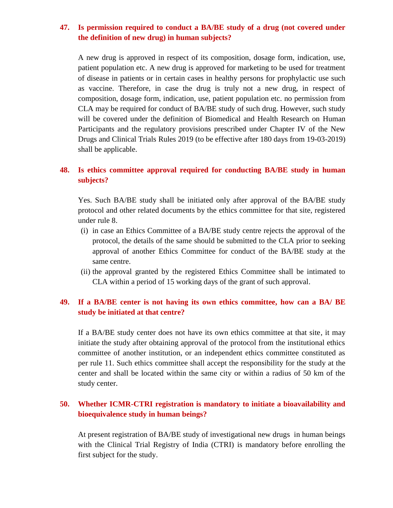# **47. Is permission required to conduct a BA/BE study of a drug (not covered under the definition of new drug) in human subjects?**

A new drug is approved in respect of its composition, dosage form, indication, use, patient population etc. A new drug is approved for marketing to be used for treatment of disease in patients or in certain cases in healthy persons for prophylactic use such as vaccine. Therefore, in case the drug is truly not a new drug, in respect of composition, dosage form, indication, use, patient population etc. no permission from CLA may be required for conduct of BA/BE study of such drug. However, such study will be covered under the definition of Biomedical and Health Research on Human Participants and the regulatory provisions prescribed under Chapter IV of the New Drugs and Clinical Trials Rules 2019 (to be effective after 180 days from 19-03-2019) shall be applicable.

# **48. Is ethics committee approval required for conducting BA/BE study in human subjects?**

Yes. Such BA/BE study shall be initiated only after approval of the BA/BE study protocol and other related documents by the ethics committee for that site, registered under rule 8.

- (i) in case an Ethics Committee of a BA/BE study centre rejects the approval of the protocol, the details of the same should be submitted to the CLA prior to seeking approval of another Ethics Committee for conduct of the BA/BE study at the same centre.
- (ii) the approval granted by the registered Ethics Committee shall be intimated to CLA within a period of 15 working days of the grant of such approval.

## **49. If a BA/BE center is not having its own ethics committee, how can a BA/ BE study be initiated at that centre?**

If a BA/BE study center does not have its own ethics committee at that site, it may initiate the study after obtaining approval of the protocol from the institutional ethics committee of another institution, or an independent ethics committee constituted as per rule 11. Such ethics committee shall accept the responsibility for the study at the center and shall be located within the same city or within a radius of 50 km of the study center.

# **50. Whether ICMR-CTRI registration is mandatory to initiate a bioavailability and bioequivalence study in human beings?**

At present registration of BA/BE study of investigational new drugs in human beings with the Clinical Trial Registry of India (CTRI) is mandatory before enrolling the first subject for the study.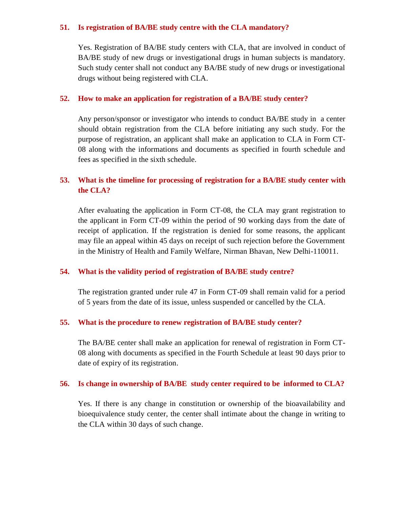#### **51. Is registration of BA/BE study centre with the CLA mandatory?**

Yes. Registration of BA/BE study centers with CLA, that are involved in conduct of BA/BE study of new drugs or investigational drugs in human subjects is mandatory. Such study center shall not conduct any BA/BE study of new drugs or investigational drugs without being registered with CLA.

## **52. How to make an application for registration of a BA/BE study center?**

Any person/sponsor or investigator who intends to conduct BA/BE study in a center should obtain registration from the CLA before initiating any such study. For the purpose of registration, an applicant shall make an application to CLA in Form CT-08 along with the informations and documents as specified in fourth schedule and fees as specified in the sixth schedule.

# **53. What is the timeline for processing of registration for a BA/BE study center with the CLA?**

After evaluating the application in Form CT-08, the CLA may grant registration to the applicant in Form CT-09 within the period of 90 working days from the date of receipt of application. If the registration is denied for some reasons, the applicant may file an appeal within 45 days on receipt of such rejection before the Government in the Ministry of Health and Family Welfare, Nirman Bhavan, New Delhi-110011.

## **54. What is the validity period of registration of BA/BE study centre?**

The registration granted under rule 47 in Form CT-09 shall remain valid for a period of 5 years from the date of its issue, unless suspended or cancelled by the CLA.

## **55. What is the procedure to renew registration of BA/BE study center?**

The BA/BE center shall make an application for renewal of registration in Form CT-08 along with documents as specified in the Fourth Schedule at least 90 days prior to date of expiry of its registration.

#### **56. Is change in ownership of BA/BE study center required to be informed to CLA?**

Yes. If there is any change in constitution or ownership of the bioavailability and bioequivalence study center, the center shall intimate about the change in writing to the CLA within 30 days of such change.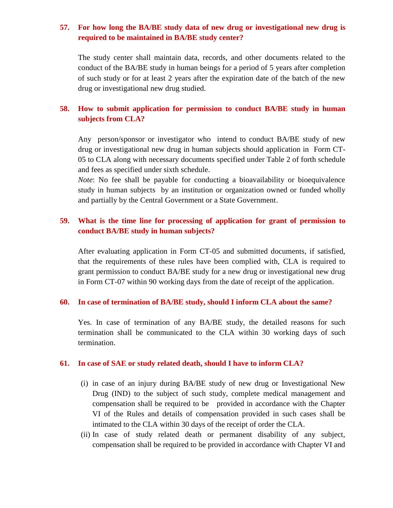## **57. For how long the BA/BE study data of new drug or investigational new drug is required to be maintained in BA/BE study center?**

The study center shall maintain data, records, and other documents related to the conduct of the BA/BE study in human beings for a period of 5 years after completion of such study or for at least 2 years after the expiration date of the batch of the new drug or investigational new drug studied.

# **58. How to submit application for permission to conduct BA/BE study in human subjects from CLA?**

Any person/sponsor or investigator who intend to conduct BA/BE study of new drug or investigational new drug in human subjects should application in Form CT-05 to CLA along with necessary documents specified under Table 2 of forth schedule and fees as specified under sixth schedule.

*Note*: No fee shall be payable for conducting a bioavailability or bioequivalence study in human subjects by an institution or organization owned or funded wholly and partially by the Central Government or a State Government.

# **59. What is the time line for processing of application for grant of permission to conduct BA/BE study in human subjects?**

After evaluating application in Form CT-05 and submitted documents, if satisfied, that the requirements of these rules have been complied with, CLA is required to grant permission to conduct BA/BE study for a new drug or investigational new drug in Form CT-07 within 90 working days from the date of receipt of the application.

#### **60. In case of termination of BA/BE study, should I inform CLA about the same?**

Yes. In case of termination of any BA/BE study, the detailed reasons for such termination shall be communicated to the CLA within 30 working days of such termination.

#### **61. In case of SAE or study related death, should I have to inform CLA?**

- (i) in case of an injury during BA/BE study of new drug or Investigational New Drug (IND) to the subject of such study, complete medical management and compensation shall be required to be provided in accordance with the Chapter VI of the Rules and details of compensation provided in such cases shall be intimated to the CLA within 30 days of the receipt of order the CLA.
- (ii) In case of study related death or permanent disability of any subject, compensation shall be required to be provided in accordance with Chapter VI and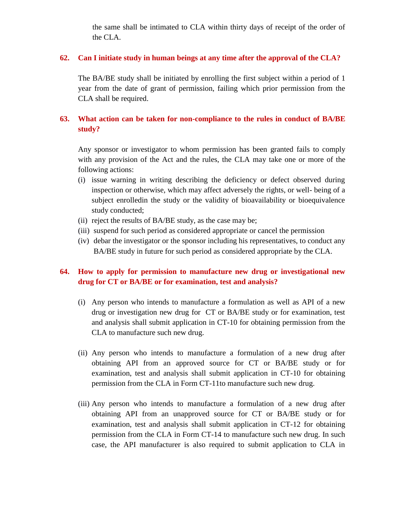the same shall be intimated to CLA within thirty days of receipt of the order of the CLA.

#### **62. Can I initiate study in human beings at any time after the approval of the CLA?**

The BA/BE study shall be initiated by enrolling the first subject within a period of 1 year from the date of grant of permission, failing which prior permission from the CLA shall be required.

# **63. What action can be taken for non-compliance to the rules in conduct of BA/BE study?**

Any sponsor or investigator to whom permission has been granted fails to comply with any provision of the Act and the rules, the CLA may take one or more of the following actions:

- (i) issue warning in writing describing the deficiency or defect observed during inspection or otherwise, which may affect adversely the rights, or well- being of a subject enrolledin the study or the validity of bioavailability or bioequivalence study conducted;
- (ii) reject the results of BA/BE study, as the case may be;
- (iii) suspend for such period as considered appropriate or cancel the permission
- (iv) debar the investigator or the sponsor including his representatives, to conduct any BA/BE study in future for such period as considered appropriate by the CLA.

# **64. How to apply for permission to manufacture new drug or investigational new drug for CT or BA/BE or for examination, test and analysis?**

- (i) Any person who intends to manufacture a formulation as well as API of a new drug or investigation new drug for CT or BA/BE study or for examination, test and analysis shall submit application in CT-10 for obtaining permission from the CLA to manufacture such new drug.
- (ii) Any person who intends to manufacture a formulation of a new drug after obtaining API from an approved source for CT or BA/BE study or for examination, test and analysis shall submit application in CT-10 for obtaining permission from the CLA in Form CT-11to manufacture such new drug.
- (iii) Any person who intends to manufacture a formulation of a new drug after obtaining API from an unapproved source for CT or BA/BE study or for examination, test and analysis shall submit application in CT-12 for obtaining permission from the CLA in Form CT-14 to manufacture such new drug. In such case, the API manufacturer is also required to submit application to CLA in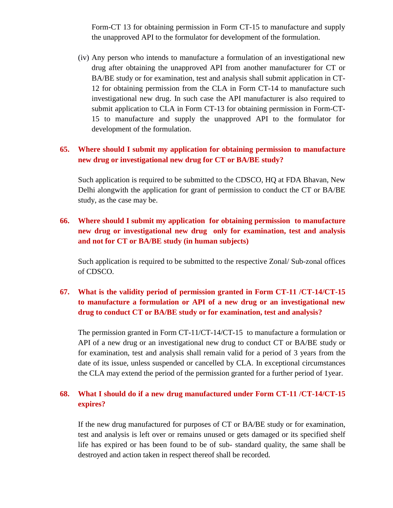Form-CT 13 for obtaining permission in Form CT-15 to manufacture and supply the unapproved API to the formulator for development of the formulation.

(iv) Any person who intends to manufacture a formulation of an investigational new drug after obtaining the unapproved API from another manufacturer for CT or BA/BE study or for examination, test and analysis shall submit application in CT-12 for obtaining permission from the CLA in Form CT-14 to manufacture such investigational new drug. In such case the API manufacturer is also required to submit application to CLA in Form CT-13 for obtaining permission in Form-CT-15 to manufacture and supply the unapproved API to the formulator for development of the formulation.

## **65. Where should I submit my application for obtaining permission to manufacture new drug or investigational new drug for CT or BA/BE study?**

Such application is required to be submitted to the CDSCO, HQ at FDA Bhavan, New Delhi alongwith the application for grant of permission to conduct the CT or BA/BE study, as the case may be.

# **66. Where should I submit my application for obtaining permission to manufacture new drug or investigational new drug only for examination, test and analysis and not for CT or BA/BE study (in human subjects)**

Such application is required to be submitted to the respective Zonal/ Sub-zonal offices of CDSCO.

# **67. What is the validity period of permission granted in Form CT-11 /CT-14/CT-15 to manufacture a formulation or API of a new drug or an investigational new drug to conduct CT or BA/BE study or for examination, test and analysis?**

The permission granted in Form CT-11/CT-14/CT-15 to manufacture a formulation or API of a new drug or an investigational new drug to conduct CT or BA/BE study or for examination, test and analysis shall remain valid for a period of 3 years from the date of its issue, unless suspended or cancelled by CLA. In exceptional circumstances the CLA may extend the period of the permission granted for a further period of 1year.

# **68. What I should do if a new drug manufactured under Form CT-11 /CT-14/CT-15 expires?**

If the new drug manufactured for purposes of CT or BA/BE study or for examination, test and analysis is left over or remains unused or gets damaged or its specified shelf life has expired or has been found to be of sub- standard quality, the same shall be destroyed and action taken in respect thereof shall be recorded.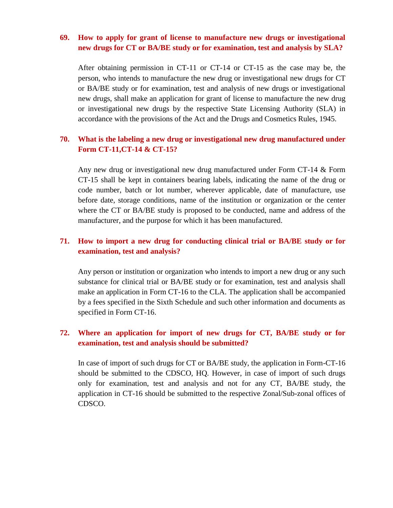## **69. How to apply for grant of license to manufacture new drugs or investigational new drugs for CT or BA/BE study or for examination, test and analysis by SLA?**

After obtaining permission in CT-11 or CT-14 or CT-15 as the case may be, the person, who intends to manufacture the new drug or investigational new drugs for CT or BA/BE study or for examination, test and analysis of new drugs or investigational new drugs, shall make an application for grant of license to manufacture the new drug or investigational new drugs by the respective State Licensing Authority (SLA) in accordance with the provisions of the Act and the Drugs and Cosmetics Rules, 1945.

# **70. What is the labeling a new drug or investigational new drug manufactured under Form CT-11,CT-14 & CT-15?**

Any new drug or investigational new drug manufactured under Form CT-14 & Form CT-15 shall be kept in containers bearing labels, indicating the name of the drug or code number, batch or lot number, wherever applicable, date of manufacture, use before date, storage conditions, name of the institution or organization or the center where the CT or BA/BE study is proposed to be conducted, name and address of the manufacturer, and the purpose for which it has been manufactured.

# **71. How to import a new drug for conducting clinical trial or BA/BE study or for examination, test and analysis?**

Any person or institution or organization who intends to import a new drug or any such substance for clinical trial or BA/BE study or for examination, test and analysis shall make an application in Form CT-16 to the CLA. The application shall be accompanied by a fees specified in the Sixth Schedule and such other information and documents as specified in Form CT-16.

# **72. Where an application for import of new drugs for CT, BA/BE study or for examination, test and analysis should be submitted?**

In case of import of such drugs for CT or BA/BE study, the application in Form-CT-16 should be submitted to the CDSCO, HQ. However, in case of import of such drugs only for examination, test and analysis and not for any CT, BA/BE study, the application in CT-16 should be submitted to the respective Zonal/Sub-zonal offices of CDSCO.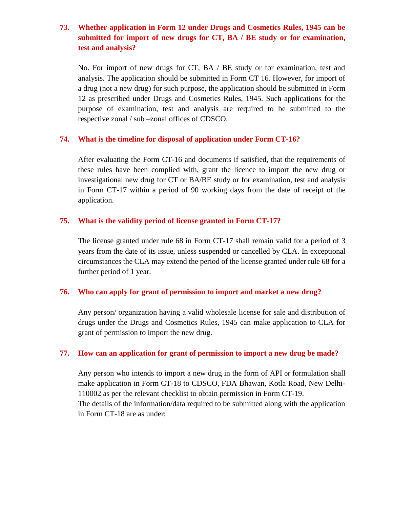# **73. Whether application in Form 12 under Drugs and Cosmetics Rules, 1945 can be submitted for import of new drugs for CT, BA / BE study or for examination, test and analysis?**

No. For import of new drugs for CT, BA / BE study or for examination, test and analysis. The application should be submitted in Form CT 16. However, for import of a drug (not a new drug) for such purpose, the application should be submitted in Form 12 as prescribed under Drugs and Cosmetics Rules, 1945. Such applications for the purpose of examination, test and analysis are required to be submitted to the respective zonal / sub –zonal offices of CDSCO.

## **74. What is the timeline for disposal of application under Form CT-16?**

After evaluating the Form CT-16 and documents if satisfied, that the requirements of these rules have been complied with, grant the licence to import the new drug or investigational new drug for CT or BA/BE study or for examination, test and analysis in Form CT-17 within a period of 90 working days from the date of receipt of the application.

## **75. What is the validity period of license granted in Form CT-17?**

The license granted under rule 68 in Form CT-17 shall remain valid for a period of 3 years from the date of its issue, unless suspended or cancelled by CLA. In exceptional circumstances the CLA may extend the period of the license granted under rule 68 for a further period of 1 year.

## **76. Who can apply for grant of permission to import and market a new drug?**

Any person/ organization having a valid wholesale license for sale and distribution of drugs under the Drugs and Cosmetics Rules, 1945 can make application to CLA for grant of permission to import the new drug.

## **77. How can an application for grant of permission to import a new drug be made?**

Any person who intends to import a new drug in the form of API or formulation shall make application in Form CT-18 to CDSCO, FDA Bhawan, Kotla Road, New Delhi-110002 as per the relevant checklist to obtain permission in Form CT-19. The details of the information/data required to be submitted along with the application in Form CT-18 are as under;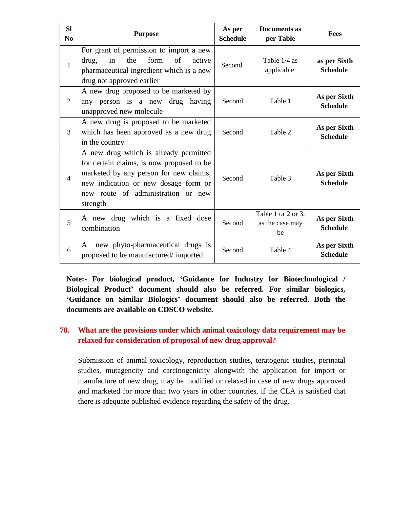| <b>SI</b><br>N <sub>0</sub> | <b>Purpose</b>                                                                                                                                                                                                         | As per<br><b>Schedule</b> | <b>Documents as</b><br>per Table            | Fees                            |
|-----------------------------|------------------------------------------------------------------------------------------------------------------------------------------------------------------------------------------------------------------------|---------------------------|---------------------------------------------|---------------------------------|
| $\mathbf{1}$                | For grant of permission to import a new<br>form<br>the<br>of<br>drug,<br>in<br>active<br>pharmaceutical ingredient which is a new<br>drug not approved earlier                                                         | Second                    | Table 1/4 as<br>applicable                  | as per Sixth<br><b>Schedule</b> |
| $\overline{2}$              | A new drug proposed to be marketed by<br>any person is a new drug having<br>unapproved new molecule                                                                                                                    | Second                    | Table 1                                     | As per Sixth<br><b>Schedule</b> |
| 3                           | A new drug is proposed to be marketed<br>which has been approved as a new drug<br>in the country                                                                                                                       | Second                    | Table 2                                     | As per Sixth<br><b>Schedule</b> |
| $\overline{4}$              | A new drug which is already permitted<br>for certain claims, is now proposed to be<br>marketed by any person for new claims,<br>new indication or new dosage form or<br>new route of administration or new<br>strength | Second                    | Table 3                                     | As per Sixth<br><b>Schedule</b> |
| 5                           | A new drug which is a fixed dose<br>combination                                                                                                                                                                        | Second                    | Table 1 or 2 or 3,<br>as the case may<br>be | As per Sixth<br><b>Schedule</b> |
| 6                           | new phyto-pharmaceutical drugs is<br>A<br>proposed to be manufactured/imported                                                                                                                                         | Second                    | Table 4                                     | As per Sixth<br><b>Schedule</b> |

**Note:- For biological product, 'Guidance for Industry for Biotechnological / Biological Product' document should also be referred. For similar biologics, 'Guidance on Similar Biologics' document should also be referred. Both the documents are available on CDSCO website.**

# **78. What are the provisions under which animal toxicology data requirement may be relaxed for consideration of proposal of new drug approval?**

Submission of animal toxicology, reproduction studies, teratogenic studies, perinatal studies, mutagencity and carcinogenicity alongwith the application for import or manufacture of new drug, may be modified or relaxed in case of new drugs approved and marketed for more than two years in other countries, if the CLA is satisfied that there is adequate published evidence regarding the safety of the drug.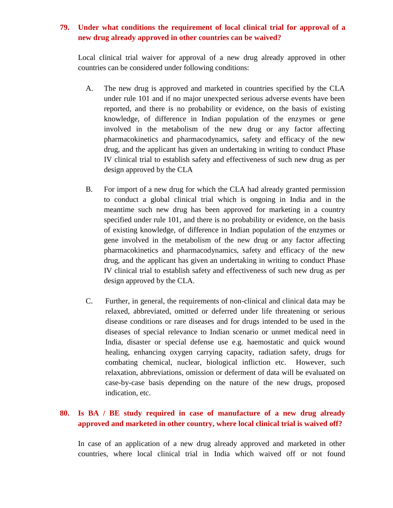## **79. Under what conditions the requirement of local clinical trial for approval of a new drug already approved in other countries can be waived?**

Local clinical trial waiver for approval of a new drug already approved in other countries can be considered under following conditions:

- A. The new drug is approved and marketed in countries specified by the CLA under rule 101 and if no major unexpected serious adverse events have been reported, and there is no probability or evidence, on the basis of existing knowledge, of difference in Indian population of the enzymes or gene involved in the metabolism of the new drug or any factor affecting pharmacokinetics and pharmacodynamics, safety and efficacy of the new drug, and the applicant has given an undertaking in writing to conduct Phase IV clinical trial to establish safety and effectiveness of such new drug as per design approved by the CLA
- B. For import of a new drug for which the CLA had already granted permission to conduct a global clinical trial which is ongoing in India and in the meantime such new drug has been approved for marketing in a country specified under rule 101, and there is no probability or evidence, on the basis of existing knowledge, of difference in Indian population of the enzymes or gene involved in the metabolism of the new drug or any factor affecting pharmacokinetics and pharmacodynamics, safety and efficacy of the new drug, and the applicant has given an undertaking in writing to conduct Phase IV clinical trial to establish safety and effectiveness of such new drug as per design approved by the CLA.
- C. Further, in general, the requirements of non-clinical and clinical data may be relaxed, abbreviated, omitted or deferred under life threatening or serious disease conditions or rare diseases and for drugs intended to be used in the diseases of special relevance to Indian scenario or unmet medical need in India, disaster or special defense use e.g. haemostatic and quick wound healing, enhancing oxygen carrying capacity, radiation safety, drugs for combating chemical, nuclear, biological infliction etc. However, such relaxation, abbreviations, omission or deferment of data will be evaluated on case-by-case basis depending on the nature of the new drugs, proposed indication, etc.

# **80. Is BA / BE study required in case of manufacture of a new drug already approved and marketed in other country, where local clinical trial is waived off?**

In case of an application of a new drug already approved and marketed in other countries, where local clinical trial in India which waived off or not found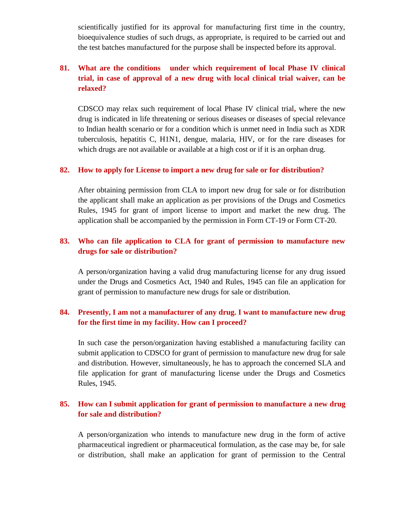scientifically justified for its approval for manufacturing first time in the country, bioequivalence studies of such drugs, as appropriate, is required to be carried out and the test batches manufactured for the purpose shall be inspected before its approval.

# **81. What are the conditions under which requirement of local Phase IV clinical trial, in case of approval of a new drug with local clinical trial waiver, can be relaxed?**

CDSCO may relax such requirement of local Phase IV clinical trial**,** where the new drug is indicated in life threatening or serious diseases or diseases of special relevance to Indian health scenario or for a condition which is unmet need in India such as XDR tuberculosis, hepatitis C, H1N1, dengue, malaria, HIV, or for the rare diseases for which drugs are not available or available at a high cost or if it is an orphan drug.

#### **82. How to apply for License to import a new drug for sale or for distribution?**

After obtaining permission from CLA to import new drug for sale or for distribution the applicant shall make an application as per provisions of the Drugs and Cosmetics Rules, 1945 for grant of import license to import and market the new drug. The application shall be accompanied by the permission in Form CT-19 or Form CT-20.

# **83. Who can file application to CLA for grant of permission to manufacture new drugs for sale or distribution?**

A person/organization having a valid drug manufacturing license for any drug issued under the Drugs and Cosmetics Act, 1940 and Rules, 1945 can file an application for grant of permission to manufacture new drugs for sale or distribution.

# **84. Presently, I am not a manufacturer of any drug. I want to manufacture new drug for the first time in my facility. How can I proceed?**

In such case the person/organization having established a manufacturing facility can submit application to CDSCO for grant of permission to manufacture new drug for sale and distribution. However, simultaneously, he has to approach the concerned SLA and file application for grant of manufacturing license under the Drugs and Cosmetics Rules, 1945.

# **85. How can I submit application for grant of permission to manufacture a new drug for sale and distribution?**

A person/organization who intends to manufacture new drug in the form of active pharmaceutical ingredient or pharmaceutical formulation, as the case may be, for sale or distribution, shall make an application for grant of permission to the Central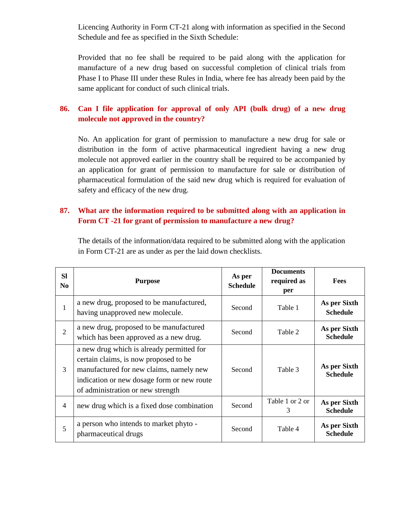Licencing Authority in Form CT-21 along with information as specified in the Second Schedule and fee as specified in the Sixth Schedule:

Provided that no fee shall be required to be paid along with the application for manufacture of a new drug based on successful completion of clinical trials from Phase I to Phase III under these Rules in India, where fee has already been paid by the same applicant for conduct of such clinical trials.

# **86. Can I file application for approval of only API (bulk drug) of a new drug molecule not approved in the country?**

No. An application for grant of permission to manufacture a new drug for sale or distribution in the form of active pharmaceutical ingredient having a new drug molecule not approved earlier in the country shall be required to be accompanied by an application for grant of permission to manufacture for sale or distribution of pharmaceutical formulation of the said new drug which is required for evaluation of safety and efficacy of the new drug.

# **87. What are the information required to be submitted along with an application in Form CT -21 for grant of permission to manufacture a new drug?**

The details of the information/data required to be submitted along with the application in Form CT-21 are as under as per the laid down checklists.

| <b>SI</b><br>N <sub>o</sub> | <b>Purpose</b>                                                                                                                                                                                                   | As per<br><b>Schedule</b> | <b>Documents</b><br>required as<br>per | <b>Fees</b>                     |
|-----------------------------|------------------------------------------------------------------------------------------------------------------------------------------------------------------------------------------------------------------|---------------------------|----------------------------------------|---------------------------------|
| $\mathbf{1}$                | a new drug, proposed to be manufactured,<br>having unapproved new molecule.                                                                                                                                      | Second                    | Table 1                                | As per Sixth<br><b>Schedule</b> |
| $\overline{2}$              | a new drug, proposed to be manufactured<br>which has been approved as a new drug.                                                                                                                                | Second                    | Table 2                                | As per Sixth<br><b>Schedule</b> |
| 3                           | a new drug which is already permitted for<br>certain claims, is now proposed to be<br>manufactured for new claims, namely new<br>indication or new dosage form or new route<br>of administration or new strength | Second                    | Table 3                                | As per Sixth<br><b>Schedule</b> |
| $\overline{4}$              | new drug which is a fixed dose combination                                                                                                                                                                       | Second                    | Table 1 or 2 or<br>3                   | As per Sixth<br><b>Schedule</b> |
| 5                           | a person who intends to market phyto -<br>pharmaceutical drugs                                                                                                                                                   | Second                    | Table 4                                | As per Sixth<br><b>Schedule</b> |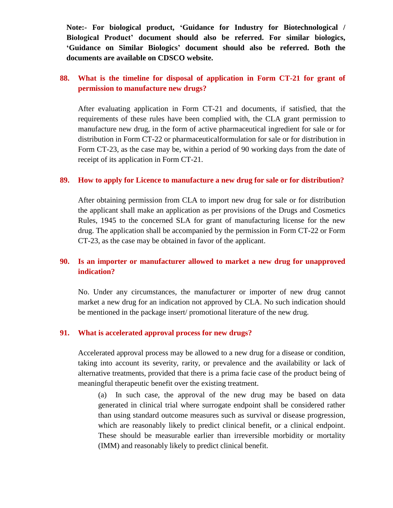**Note:- For biological product, 'Guidance for Industry for Biotechnological / Biological Product' document should also be referred. For similar biologics, 'Guidance on Similar Biologics' document should also be referred. Both the documents are available on CDSCO website.**

# **88. What is the timeline for disposal of application in Form CT-21 for grant of permission to manufacture new drugs?**

After evaluating application in Form CT-21 and documents, if satisfied, that the requirements of these rules have been complied with, the CLA grant permission to manufacture new drug, in the form of active pharmaceutical ingredient for sale or for distribution in Form CT-22 or pharmaceuticalformulation for sale or for distribution in Form CT-23, as the case may be, within a period of 90 working days from the date of receipt of its application in Form CT-21.

#### **89. How to apply for Licence to manufacture a new drug for sale or for distribution?**

After obtaining permission from CLA to import new drug for sale or for distribution the applicant shall make an application as per provisions of the Drugs and Cosmetics Rules, 1945 to the concerned SLA for grant of manufacturing license for the new drug. The application shall be accompanied by the permission in Form CT-22 or Form CT-23, as the case may be obtained in favor of the applicant.

# **90. Is an importer or manufacturer allowed to market a new drug for unapproved indication?**

No. Under any circumstances, the manufacturer or importer of new drug cannot market a new drug for an indication not approved by CLA. No such indication should be mentioned in the package insert/ promotional literature of the new drug.

#### **91. What is accelerated approval process for new drugs?**

Accelerated approval process may be allowed to a new drug for a disease or condition, taking into account its severity, rarity, or prevalence and the availability or lack of alternative treatments, provided that there is a prima facie case of the product being of meaningful therapeutic benefit over the existing treatment.

(a) In such case, the approval of the new drug may be based on data generated in clinical trial where surrogate endpoint shall be considered rather than using standard outcome measures such as survival or disease progression, which are reasonably likely to predict clinical benefit, or a clinical endpoint. These should be measurable earlier than irreversible morbidity or mortality (IMM) and reasonably likely to predict clinical benefit.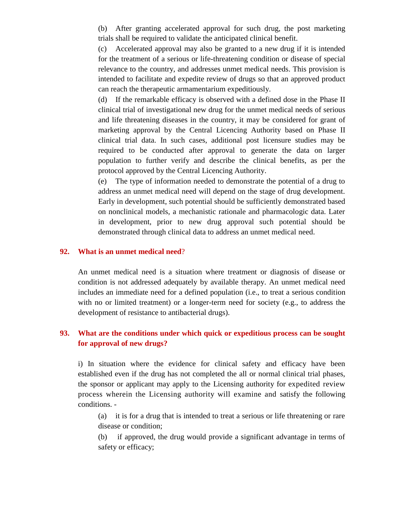(b) After granting accelerated approval for such drug, the post marketing trials shall be required to validate the anticipated clinical benefit.

(c) Accelerated approval may also be granted to a new drug if it is intended for the treatment of a serious or life-threatening condition or disease of special relevance to the country, and addresses unmet medical needs. This provision is intended to facilitate and expedite review of drugs so that an approved product can reach the therapeutic armamentarium expeditiously.

(d) If the remarkable efficacy is observed with a defined dose in the Phase II clinical trial of investigational new drug for the unmet medical needs of serious and life threatening diseases in the country, it may be considered for grant of marketing approval by the Central Licencing Authority based on Phase II clinical trial data. In such cases, additional post licensure studies may be required to be conducted after approval to generate the data on larger population to further verify and describe the clinical benefits, as per the protocol approved by the Central Licencing Authority.

(e) The type of information needed to demonstrate the potential of a drug to address an unmet medical need will depend on the stage of drug development. Early in development, such potential should be sufficiently demonstrated based on nonclinical models, a mechanistic rationale and pharmacologic data. Later in development, prior to new drug approval such potential should be demonstrated through clinical data to address an unmet medical need.

#### **92. What is an unmet medical need**?

An unmet medical need is a situation where treatment or diagnosis of disease or condition is not addressed adequately by available therapy. An unmet medical need includes an immediate need for a defined population (i.e., to treat a serious condition with no or limited treatment) or a longer-term need for society (e.g., to address the development of resistance to antibacterial drugs).

## **93. What are the conditions under which quick or expeditious process can be sought for approval of new drugs?**

i) In situation where the evidence for clinical safety and efficacy have been established even if the drug has not completed the all or normal clinical trial phases, the sponsor or applicant may apply to the Licensing authority for expedited review process wherein the Licensing authority will examine and satisfy the following conditions. -

(a) it is for a drug that is intended to treat a serious or life threatening or rare disease or condition;

(b) if approved, the drug would provide a significant advantage in terms of safety or efficacy;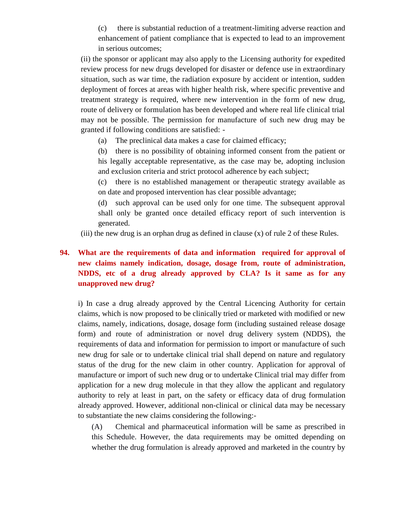(c) there is substantial reduction of a treatment-limiting adverse reaction and enhancement of patient compliance that is expected to lead to an improvement in serious outcomes;

(ii) the sponsor or applicant may also apply to the Licensing authority for expedited review process for new drugs developed for disaster or defence use in extraordinary situation, such as war time, the radiation exposure by accident or intention, sudden deployment of forces at areas with higher health risk, where specific preventive and treatment strategy is required, where new intervention in the form of new drug, route of delivery or formulation has been developed and where real life clinical trial may not be possible. The permission for manufacture of such new drug may be granted if following conditions are satisfied: -

(a) The preclinical data makes a case for claimed efficacy;

(b) there is no possibility of obtaining informed consent from the patient or his legally acceptable representative, as the case may be, adopting inclusion and exclusion criteria and strict protocol adherence by each subject;

(c) there is no established management or therapeutic strategy available as on date and proposed intervention has clear possible advantage;

(d) such approval can be used only for one time. The subsequent approval shall only be granted once detailed efficacy report of such intervention is generated.

(iii) the new drug is an orphan drug as defined in clause  $(x)$  of rule 2 of these Rules.

# **94. What are the requirements of data and information required for approval of new claims namely indication, dosage, dosage from, route of administration, NDDS, etc of a drug already approved by CLA? Is it same as for any unapproved new drug?**

i) In case a drug already approved by the Central Licencing Authority for certain claims, which is now proposed to be clinically tried or marketed with modified or new claims, namely, indications, dosage, dosage form (including sustained release dosage form) and route of administration or novel drug delivery system (NDDS), the requirements of data and information for permission to import or manufacture of such new drug for sale or to undertake clinical trial shall depend on nature and regulatory status of the drug for the new claim in other country. Application for approval of manufacture or import of such new drug or to undertake Clinical trial may differ from application for a new drug molecule in that they allow the applicant and regulatory authority to rely at least in part, on the safety or efficacy data of drug formulation already approved. However, additional non-clinical or clinical data may be necessary to substantiate the new claims considering the following:-

(A) Chemical and pharmaceutical information will be same as prescribed in this Schedule. However, the data requirements may be omitted depending on whether the drug formulation is already approved and marketed in the country by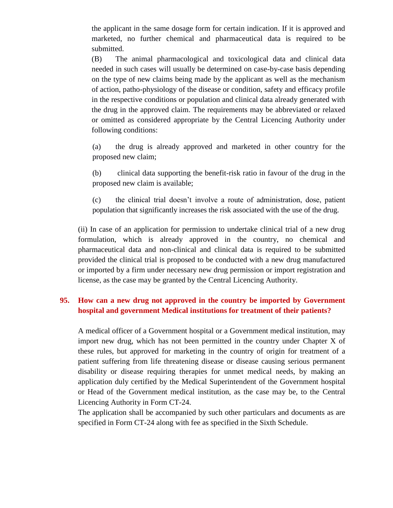the applicant in the same dosage form for certain indication. If it is approved and marketed, no further chemical and pharmaceutical data is required to be submitted.

(B) The animal pharmacological and toxicological data and clinical data needed in such cases will usually be determined on case-by-case basis depending on the type of new claims being made by the applicant as well as the mechanism of action, patho-physiology of the disease or condition, safety and efficacy profile in the respective conditions or population and clinical data already generated with the drug in the approved claim. The requirements may be abbreviated or relaxed or omitted as considered appropriate by the Central Licencing Authority under following conditions:

(a) the drug is already approved and marketed in other country for the proposed new claim;

(b) clinical data supporting the benefit-risk ratio in favour of the drug in the proposed new claim is available;

(c) the clinical trial doesn't involve a route of administration, dose, patient population that significantly increases the risk associated with the use of the drug.

(ii) In case of an application for permission to undertake clinical trial of a new drug formulation, which is already approved in the country, no chemical and pharmaceutical data and non-clinical and clinical data is required to be submitted provided the clinical trial is proposed to be conducted with a new drug manufactured or imported by a firm under necessary new drug permission or import registration and license, as the case may be granted by the Central Licencing Authority.

# **95. How can a new drug not approved in the country be imported by Government hospital and government Medical institutions for treatment of their patients?**

A medical officer of a Government hospital or a Government medical institution, may import new drug, which has not been permitted in the country under Chapter X of these rules, but approved for marketing in the country of origin for treatment of a patient suffering from life threatening disease or disease causing serious permanent disability or disease requiring therapies for unmet medical needs, by making an application duly certified by the Medical Superintendent of the Government hospital or Head of the Government medical institution, as the case may be, to the Central Licencing Authority in Form CT-24.

The application shall be accompanied by such other particulars and documents as are specified in Form CT-24 along with fee as specified in the Sixth Schedule.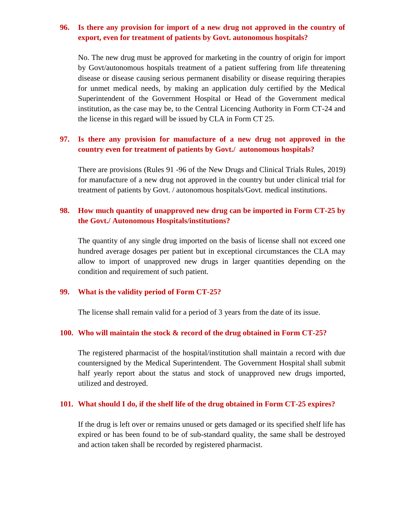## **96. Is there any provision for import of a new drug not approved in the country of export, even for treatment of patients by Govt. autonomous hospitals?**

No. The new drug must be approved for marketing in the country of origin for import by Govt/autonomous hospitals treatment of a patient suffering from life threatening disease or disease causing serious permanent disability or disease requiring therapies for unmet medical needs, by making an application duly certified by the Medical Superintendent of the Government Hospital or Head of the Government medical institution, as the case may be, to the Central Licencing Authority in Form CT-24 and the license in this regard will be issued by CLA in Form CT 25.

#### **97. Is there any provision for manufacture of a new drug not approved in the country even for treatment of patients by Govt./ autonomous hospitals?**

There are provisions (Rules 91 -96 of the New Drugs and Clinical Trials Rules, 2019) for manufacture of a new drug not approved in the country but under clinical trial for treatment of patients by Govt. / autonomous hospitals/Govt. medical institutions**.**

## **98. How much quantity of unapproved new drug can be imported in Form CT-25 by the Govt./ Autonomous Hospitals/institutions?**

The quantity of any single drug imported on the basis of license shall not exceed one hundred average dosages per patient but in exceptional circumstances the CLA may allow to import of unapproved new drugs in larger quantities depending on the condition and requirement of such patient.

#### **99. What is the validity period of Form CT-25?**

The license shall remain valid for a period of 3 years from the date of its issue.

#### **100. Who will maintain the stock & record of the drug obtained in Form CT-25?**

The registered pharmacist of the hospital/institution shall maintain a record with due countersigned by the Medical Superintendent. The Government Hospital shall submit half yearly report about the status and stock of unapproved new drugs imported, utilized and destroyed.

#### **101. What should I do, if the shelf life of the drug obtained in Form CT-25 expires?**

If the drug is left over or remains unused or gets damaged or its specified shelf life has expired or has been found to be of sub-standard quality, the same shall be destroyed and action taken shall be recorded by registered pharmacist.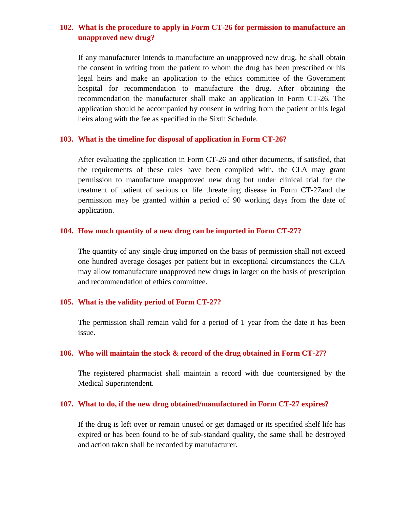## **102. What is the procedure to apply in Form CT-26 for permission to manufacture an unapproved new drug?**

If any manufacturer intends to manufacture an unapproved new drug, he shall obtain the consent in writing from the patient to whom the drug has been prescribed or his legal heirs and make an application to the ethics committee of the Government hospital for recommendation to manufacture the drug. After obtaining the recommendation the manufacturer shall make an application in Form CT-26. The application should be accompanied by consent in writing from the patient or his legal heirs along with the fee as specified in the Sixth Schedule.

#### **103. What is the timeline for disposal of application in Form CT-26?**

After evaluating the application in Form CT-26 and other documents, if satisfied, that the requirements of these rules have been complied with, the CLA may grant permission to manufacture unapproved new drug but under clinical trial for the treatment of patient of serious or life threatening disease in Form CT-27and the permission may be granted within a period of 90 working days from the date of application.

#### **104. How much quantity of a new drug can be imported in Form CT-27?**

The quantity of any single drug imported on the basis of permission shall not exceed one hundred average dosages per patient but in exceptional circumstances the CLA may allow tomanufacture unapproved new drugs in larger on the basis of prescription and recommendation of ethics committee.

#### **105. What is the validity period of Form CT-27?**

The permission shall remain valid for a period of 1 year from the date it has been issue.

#### **106. Who will maintain the stock & record of the drug obtained in Form CT-27?**

The registered pharmacist shall maintain a record with due countersigned by the Medical Superintendent.

#### **107. What to do, if the new drug obtained/manufactured in Form CT-27 expires?**

If the drug is left over or remain unused or get damaged or its specified shelf life has expired or has been found to be of sub-standard quality, the same shall be destroyed and action taken shall be recorded by manufacturer.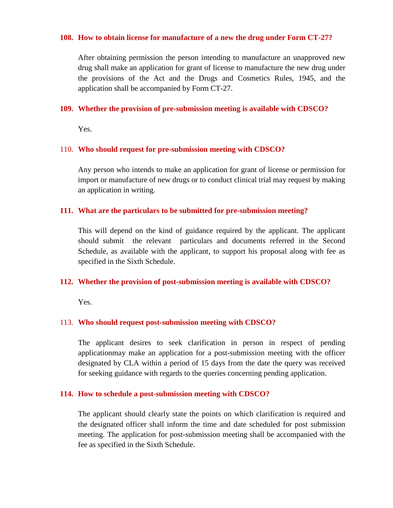#### **108. How to obtain license for manufacture of a new the drug under Form CT-27?**

After obtaining permission the person intending to manufacture an unapproved new drug shall make an application for grant of license to manufacture the new drug under the provisions of the Act and the Drugs and Cosmetics Rules, 1945, and the application shall be accompanied by Form CT-27.

#### **109. Whether the provision of pre-submission meeting is available with CDSCO?**

Yes.

#### 110. **Who should request for pre-submission meeting with CDSCO?**

Any person who intends to make an application for grant of license or permission for import or manufacture of new drugs or to conduct clinical trial may request by making an application in writing.

#### **111. What are the particulars to be submitted for pre-submission meeting?**

This will depend on the kind of guidance required by the applicant. The applicant should submit the relevant particulars and documents referred in the Second Schedule, as available with the applicant, to support his proposal along with fee as specified in the Sixth Schedule.

#### **112. Whether the provision of post-submission meeting is available with CDSCO?**

Yes.

#### 113. **Who should request post-submission meeting with CDSCO?**

The applicant desires to seek clarification in person in respect of pending applicationmay make an application for a post-submission meeting with the officer designated by CLA within a period of 15 days from the date the query was received for seeking guidance with regards to the queries concerning pending application.

#### **114. How to schedule a post-submission meeting with CDSCO?**

The applicant should clearly state the points on which clarification is required and the designated officer shall inform the time and date scheduled for post submission meeting. The application for post-submission meeting shall be accompanied with the fee as specified in the Sixth Schedule.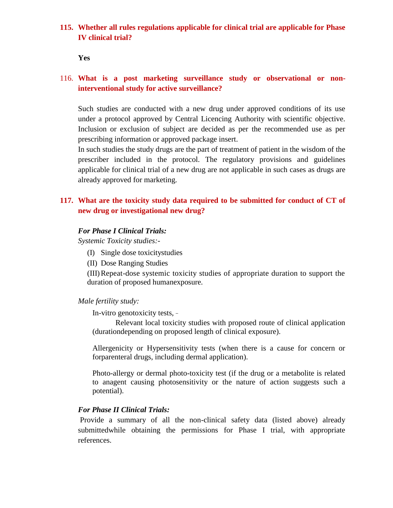## **115. Whether all rules regulations applicable for clinical trial are applicable for Phase IV clinical trial?**

**Yes**

# 116. **What is a post marketing surveillance study or observational or noninterventional study for active surveillance?**

Such studies are conducted with a new drug under approved conditions of its use under a protocol approved by Central Licencing Authority with scientific objective. Inclusion or exclusion of subject are decided as per the recommended use as per prescribing information or approved package insert.

In such studies the study drugs are the part of treatment of patient in the wisdom of the prescriber included in the protocol. The regulatory provisions and guidelines applicable for clinical trial of a new drug are not applicable in such cases as drugs are already approved for marketing.

# **117. What are the toxicity study data required to be submitted for conduct of CT of new drug or investigational new drug?**

#### *For Phase I Clinical Trials:*

*Systemic Toxicity studies:-*

- (I) Single dose toxicitystudies
- (II) Dose Ranging Studies

(III)Repeat-dose systemic toxicity studies of appropriate duration to support the duration of proposed humanexposure.

#### *Male fertility study:*

In-vitro genotoxicity tests, –

Relevant local toxicity studies with proposed route of clinical application (durationdepending on proposed length of clinical exposure).

Allergenicity or Hypersensitivity tests (when there is a cause for concern or forparenteral drugs, including dermal application).

Photo-allergy or dermal photo-toxicity test (if the drug or a metabolite is related to anagent causing photosensitivity or the nature of action suggests such a potential).

#### *For Phase II Clinical Trials:*

Provide a summary of all the non-clinical safety data (listed above) already submittedwhile obtaining the permissions for Phase I trial, with appropriate references.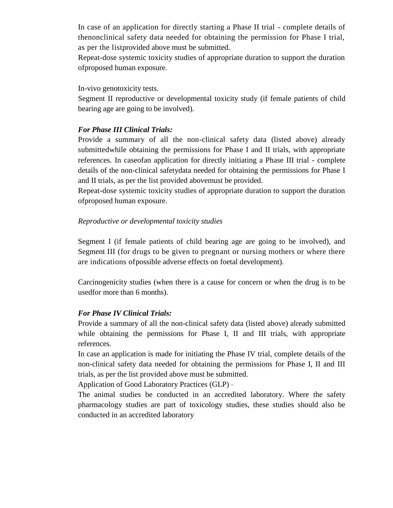In case of an application for directly starting a Phase II trial - complete details of thenonclinical safety data needed for obtaining the permission for Phase I trial, as per the listprovided above must be submitted.

Repeat-dose systemic toxicity studies of appropriate duration to support the duration ofproposed human exposure.

In-vivo genotoxicity tests.

Segment II reproductive or developmental toxicity study (if female patients of child bearing age are going to be involved).

## *For Phase III Clinical Trials:*

Provide a summary of all the non-clinical safety data (listed above) already submittedwhile obtaining the permissions for Phase I and II trials, with appropriate references. In caseofan application for directly initiating a Phase III trial - complete details of the non-clinical safetydata needed for obtaining the permissions for Phase I and II trials, as per the list provided abovemust be provided.

Repeat-dose systemic toxicity studies of appropriate duration to support the duration ofproposed human exposure.

# *Reproductive or developmental toxicity studies*

Segment I (if female patients of child bearing age are going to be involved), and Segment III (for drugs to be given to pregnant or nursing mothers or where there are indications ofpossible adverse effects on foetal development).

Carcinogenicity studies (when there is a cause for concern or when the drug is to be usedfor more than 6 months).

## *For Phase IV Clinical Trials:*

Provide a summary of all the non-clinical safety data (listed above) already submitted while obtaining the permissions for Phase I, II and III trials, with appropriate references.

In case an application is made for initiating the Phase IV trial, complete details of the non-clinical safety data needed for obtaining the permissions for Phase I, II and III trials, as per the list provided above must be submitted.

Application of Good Laboratory Practices (GLP) –

The animal studies be conducted in an accredited laboratory. Where the safety pharmacology studies are part of toxicology studies, these studies should also be conducted in an accredited laboratory